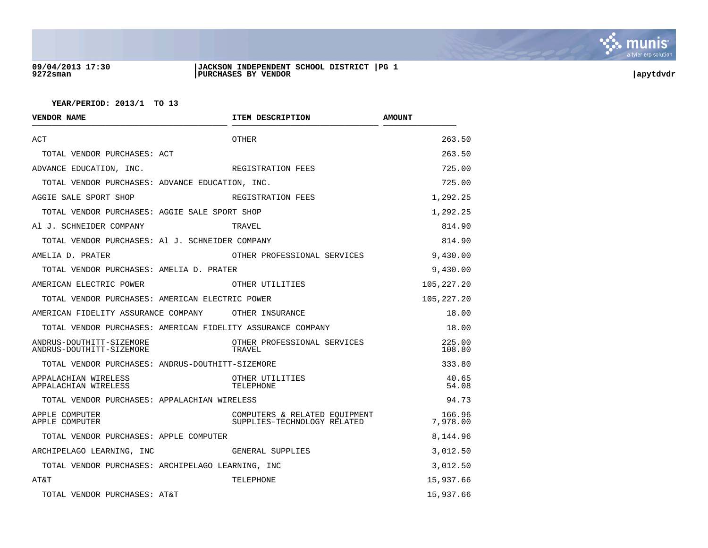

#### **09/04/2013 17:30 |JACKSON INDEPENDENT SCHOOL DISTRICT |PG 1 9272sman |PURCHASES BY VENDOR |apytdvdr**

| VENDOR NAME                                                 | ITEM DESCRIPTION                                             | <b>AMOUNT</b>      |
|-------------------------------------------------------------|--------------------------------------------------------------|--------------------|
| ACT                                                         | OTHER                                                        | 263.50             |
| TOTAL VENDOR PURCHASES: ACT                                 |                                                              | 263.50             |
| ADVANCE EDUCATION, INC.                                     | REGISTRATION FEES                                            | 725.00             |
| TOTAL VENDOR PURCHASES: ADVANCE EDUCATION, INC.             |                                                              | 725.00             |
| AGGIE SALE SPORT SHOP                                       | REGISTRATION FEES                                            | 1,292.25           |
| TOTAL VENDOR PURCHASES: AGGIE SALE SPORT SHOP               |                                                              | 1,292.25           |
| Al J. SCHNEIDER COMPANY                                     | TRAVEL                                                       | 814.90             |
| TOTAL VENDOR PURCHASES: Al J. SCHNEIDER COMPANY             |                                                              | 814.90             |
| AMELIA D. PRATER                                            | OTHER PROFESSIONAL SERVICES                                  | 9,430.00           |
| TOTAL VENDOR PURCHASES: AMELIA D. PRATER                    |                                                              | 9,430.00           |
| AMERICAN ELECTRIC POWER                                     | OTHER UTILITIES                                              | 105, 227.20        |
| TOTAL VENDOR PURCHASES: AMERICAN ELECTRIC POWER             |                                                              | 105, 227. 20       |
| AMERICAN FIDELITY ASSURANCE COMPANY OTHER INSURANCE         |                                                              | 18.00              |
| TOTAL VENDOR PURCHASES: AMERICAN FIDELITY ASSURANCE COMPANY |                                                              | 18.00              |
| ANDRUS-DOUTHITT-SIZEMORE<br>ANDRUS-DOUTHITT-SIZEMORE        | OTHER PROFESSIONAL SERVICES<br>TRAVEL                        | 225.00<br>108.80   |
| TOTAL VENDOR PURCHASES: ANDRUS-DOUTHITT-SIZEMORE            |                                                              | 333.80             |
| APPALACHIAN WIRELESS<br>APPALACHIAN WIRELESS                | OTHER UTILITIES<br>TELEPHONE                                 | 40.65<br>54.08     |
| TOTAL VENDOR PURCHASES: APPALACHIAN WIRELESS                |                                                              | 94.73              |
| APPLE COMPUTER<br>APPLE COMPUTER                            | COMPUTERS & RELATED EOUIPMENT<br>SUPPLIES-TECHNOLOGY RELATED | 166.96<br>7,978.00 |
| TOTAL VENDOR PURCHASES: APPLE COMPUTER                      |                                                              | 8,144.96           |
| ARCHIPELAGO LEARNING, INC                                   | GENERAL SUPPLIES                                             | 3,012.50           |
| TOTAL VENDOR PURCHASES: ARCHIPELAGO LEARNING, INC           |                                                              | 3,012.50           |
| AT&T                                                        | TELEPHONE                                                    | 15,937.66          |
| TOTAL VENDOR PURCHASES: AT&T                                |                                                              | 15,937.66          |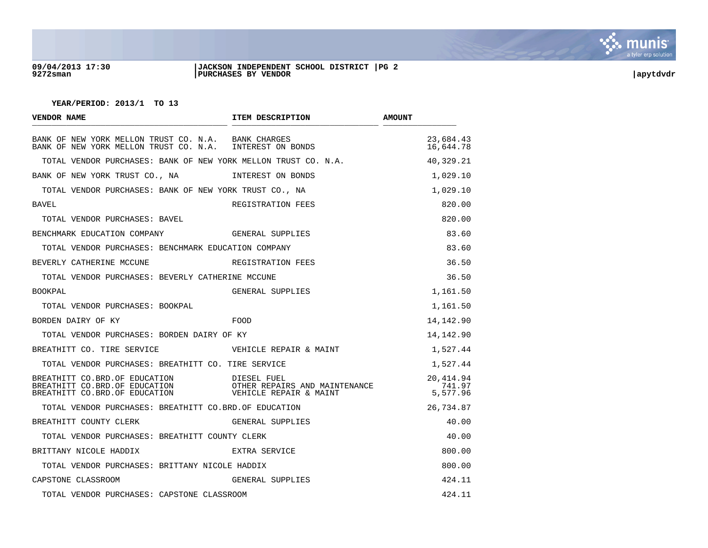

#### **09/04/2013 17:30 |JACKSON INDEPENDENT SCHOOL DISTRICT |PG 2 9272sman |PURCHASES BY VENDOR |apytdvdr**

| VENDOR NAME                                                                                                     | ITEM DESCRIPTION                                                       | <b>AMOUNT</b>                   |
|-----------------------------------------------------------------------------------------------------------------|------------------------------------------------------------------------|---------------------------------|
| BANK OF NEW YORK MELLON TRUST CO. N.A. BANK CHARGES<br>BANK OF NEW YORK MELLON TRUST CO. N.A. INTEREST ON BONDS |                                                                        | 23,684.43<br>16,644.78          |
| TOTAL VENDOR PURCHASES: BANK OF NEW YORK MELLON TRUST CO. N.A.                                                  |                                                                        | 40,329.21                       |
| BANK OF NEW YORK TRUST CO., NA                                                                                  | INTEREST ON BONDS                                                      | 1,029.10                        |
| TOTAL VENDOR PURCHASES: BANK OF NEW YORK TRUST CO., NA                                                          |                                                                        | 1,029.10                        |
| BAVEL                                                                                                           | REGISTRATION FEES                                                      | 820.00                          |
| TOTAL VENDOR PURCHASES: BAVEL                                                                                   |                                                                        | 820.00                          |
| BENCHMARK EDUCATION COMPANY THE GENERAL SUPPLIES                                                                |                                                                        | 83.60                           |
| TOTAL VENDOR PURCHASES: BENCHMARK EDUCATION COMPANY                                                             |                                                                        | 83.60                           |
| BEVERLY CATHERINE MCCUNE                                                                                        | REGISTRATION FEES                                                      | 36.50                           |
| TOTAL VENDOR PURCHASES: BEVERLY CATHERINE MCCUNE                                                                |                                                                        | 36.50                           |
| <b>BOOKPAL</b>                                                                                                  | GENERAL SUPPLIES                                                       | 1,161.50                        |
| TOTAL VENDOR PURCHASES: BOOKPAL                                                                                 |                                                                        | 1,161.50                        |
| BORDEN DAIRY OF KY                                                                                              | FOOD                                                                   | 14,142.90                       |
| TOTAL VENDOR PURCHASES: BORDEN DAIRY OF KY                                                                      |                                                                        | 14,142.90                       |
| BREATHITT CO. TIRE SERVICE                                                                                      | VEHICLE REPAIR & MAINT                                                 | 1,527.44                        |
| TOTAL VENDOR PURCHASES: BREATHITT CO. TIRE SERVICE                                                              |                                                                        | 1,527.44                        |
| BREATHITT CO.BRD.OF EDUCATION<br>BREATHITT CO.BRD.OF EDUCATION<br>BREATHITT CO.BRD.OF EDUCATION                 | DIESEL FUEL<br>OTHER REPAIRS AND MAINTENANCE<br>VEHICLE REPAIR & MAINT | 20,414.94<br>741.97<br>5,577.96 |
| TOTAL VENDOR PURCHASES: BREATHITT CO.BRD.OF EDUCATION                                                           |                                                                        | 26,734.87                       |
| BREATHITT COUNTY CLERK                                                                                          | GENERAL SUPPLIES                                                       | 40.00                           |
| TOTAL VENDOR PURCHASES: BREATHITT COUNTY CLERK                                                                  |                                                                        | 40.00                           |
| BRITTANY NICOLE HADDIX                                                                                          | EXTRA SERVICE                                                          | 800.00                          |
| TOTAL VENDOR PURCHASES: BRITTANY NICOLE HADDIX                                                                  |                                                                        | 800.00                          |
| CAPSTONE CLASSROOM                                                                                              | GENERAL SUPPLIES                                                       | 424.11                          |
| TOTAL VENDOR PURCHASES: CAPSTONE CLASSROOM                                                                      |                                                                        | 424.11                          |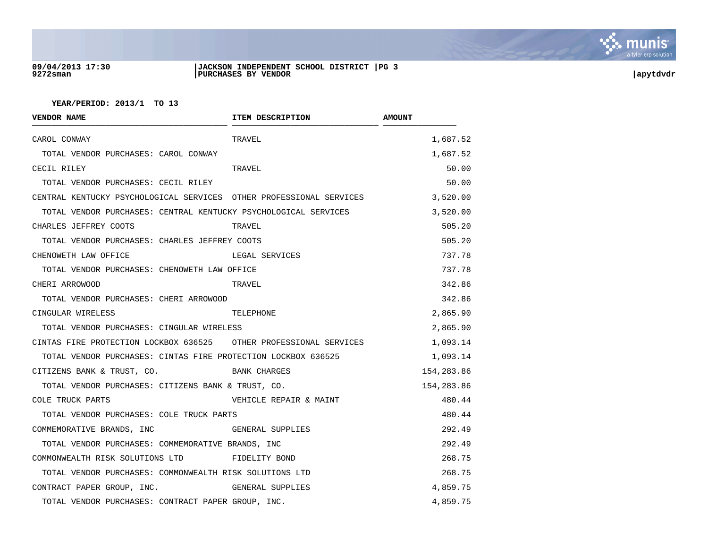

#### **09/04/2013 17:30 |JACKSON INDEPENDENT SCHOOL DISTRICT |PG 3 9272sman |PURCHASES BY VENDOR |apytdvdr**

| <b>VENDOR NAME</b>                                                  | ITEM DESCRIPTION        | <b>AMOUNT</b> |
|---------------------------------------------------------------------|-------------------------|---------------|
| CAROL CONWAY                                                        | TRAVEL                  | 1,687.52      |
| TOTAL VENDOR PURCHASES: CAROL CONWAY                                |                         | 1,687.52      |
| CECIL RILEY                                                         | TRAVEL                  | 50.00         |
| TOTAL VENDOR PURCHASES: CECIL RILEY                                 |                         | 50.00         |
| CENTRAL KENTUCKY PSYCHOLOGICAL SERVICES OTHER PROFESSIONAL SERVICES |                         | 3,520.00      |
| TOTAL VENDOR PURCHASES: CENTRAL KENTUCKY PSYCHOLOGICAL SERVICES     |                         | 3,520.00      |
| CHARLES JEFFREY COOTS                                               | TRAVEL                  | 505.20        |
| TOTAL VENDOR PURCHASES: CHARLES JEFFREY COOTS                       |                         | 505.20        |
| CHENOWETH LAW OFFICE                                                | LEGAL SERVICES          | 737.78        |
| TOTAL VENDOR PURCHASES: CHENOWETH LAW OFFICE                        |                         | 737.78        |
| CHERI ARROWOOD                                                      | TRAVEL                  | 342.86        |
| TOTAL VENDOR PURCHASES: CHERI ARROWOOD                              |                         | 342.86        |
| CINGULAR WIRELESS                                                   | TELEPHONE               | 2,865.90      |
| TOTAL VENDOR PURCHASES: CINGULAR WIRELESS                           |                         | 2,865.90      |
| CINTAS FIRE PROTECTION LOCKBOX 636525 OTHER PROFESSIONAL SERVICES   |                         | 1,093.14      |
| TOTAL VENDOR PURCHASES: CINTAS FIRE PROTECTION LOCKBOX 636525       |                         | 1,093.14      |
| CITIZENS BANK & TRUST, CO.                                          | BANK CHARGES            | 154,283.86    |
| TOTAL VENDOR PURCHASES: CITIZENS BANK & TRUST, CO.                  |                         | 154,283.86    |
| COLE TRUCK PARTS                                                    | VEHICLE REPAIR & MAINT  | 480.44        |
| TOTAL VENDOR PURCHASES: COLE TRUCK PARTS                            |                         | 480.44        |
| COMMEMORATIVE BRANDS, INC                                           | <b>GENERAL SUPPLIES</b> | 292.49        |
| TOTAL VENDOR PURCHASES: COMMEMORATIVE BRANDS, INC                   |                         | 292.49        |
| COMMONWEALTH RISK SOLUTIONS LTD FIDELITY BOND                       |                         | 268.75        |
| TOTAL VENDOR PURCHASES: COMMONWEALTH RISK SOLUTIONS LTD             |                         | 268.75        |
| CONTRACT PAPER GROUP, INC. GENERAL SUPPLIES                         |                         | 4,859.75      |
| TOTAL VENDOR PURCHASES: CONTRACT PAPER GROUP, INC.                  |                         | 4,859.75      |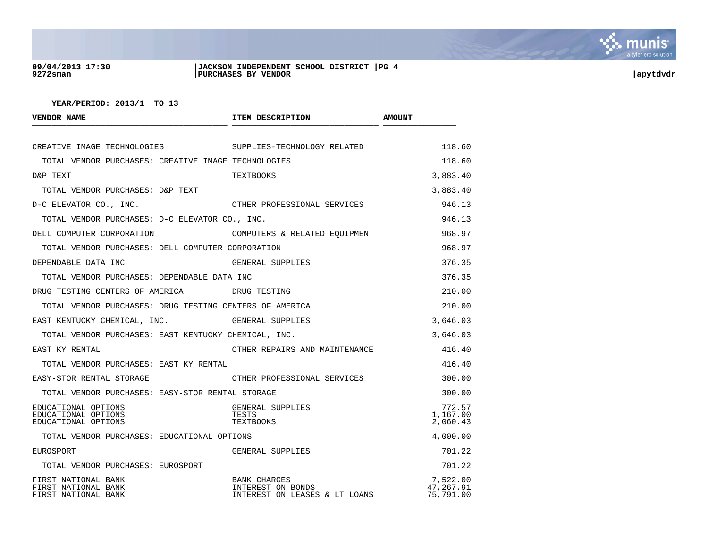

#### **09/04/2013 17:30 |JACKSON INDEPENDENT SCHOOL DISTRICT |PG 4 9272sman |PURCHASES BY VENDOR |apytdvdr**

| <b>VENDOR NAME</b>                                                | ITEM DESCRIPTION                                                          | <b>AMOUNT</b>                      |
|-------------------------------------------------------------------|---------------------------------------------------------------------------|------------------------------------|
| CREATIVE IMAGE TECHNOLOGIES                                       | SUPPLIES-TECHNOLOGY RELATED                                               | 118.60                             |
| TOTAL VENDOR PURCHASES: CREATIVE IMAGE TECHNOLOGIES               |                                                                           | 118.60                             |
| D&P TEXT                                                          | TEXTBOOKS                                                                 | 3,883.40                           |
| TOTAL VENDOR PURCHASES: D&P TEXT                                  |                                                                           | 3,883.40                           |
| D-C ELEVATOR CO., INC.                                            | OTHER PROFESSIONAL SERVICES                                               | 946.13                             |
| TOTAL VENDOR PURCHASES: D-C ELEVATOR CO., INC.                    |                                                                           | 946.13                             |
| DELL COMPUTER CORPORATION                                         | COMPUTERS & RELATED EQUIPMENT                                             | 968.97                             |
| TOTAL VENDOR PURCHASES: DELL COMPUTER CORPORATION                 |                                                                           | 968.97                             |
| DEPENDABLE DATA INC                                               | GENERAL SUPPLIES                                                          | 376.35                             |
| TOTAL VENDOR PURCHASES: DEPENDABLE DATA INC                       |                                                                           | 376.35                             |
| DRUG TESTING CENTERS OF AMERICA TESTING                           |                                                                           | 210.00                             |
| TOTAL VENDOR PURCHASES: DRUG TESTING CENTERS OF AMERICA           |                                                                           | 210.00                             |
| EAST KENTUCKY CHEMICAL, INC. GENERAL SUPPLIES                     |                                                                           | 3,646.03                           |
| TOTAL VENDOR PURCHASES: EAST KENTUCKY CHEMICAL, INC.              |                                                                           | 3,646.03                           |
| EAST KY RENTAL                                                    | OTHER REPAIRS AND MAINTENANCE                                             | 416.40                             |
| TOTAL VENDOR PURCHASES: EAST KY RENTAL                            |                                                                           | 416.40                             |
| EASY-STOR RENTAL STORAGE                                          | OTHER PROFESSIONAL SERVICES                                               | 300.00                             |
| TOTAL VENDOR PURCHASES: EASY-STOR RENTAL STORAGE                  |                                                                           | 300.00                             |
| EDUCATIONAL OPTIONS<br>EDUCATIONAL OPTIONS<br>EDUCATIONAL OPTIONS | GENERAL SUPPLIES<br>TESTS<br>TEXTBOOKS                                    | 772.57<br>1,167.00<br>2,060.43     |
| TOTAL VENDOR PURCHASES: EDUCATIONAL OPTIONS                       |                                                                           | 4,000.00                           |
| EUROSPORT                                                         | GENERAL SUPPLIES                                                          | 701.22                             |
| TOTAL VENDOR PURCHASES: EUROSPORT                                 |                                                                           | 701.22                             |
| FIRST NATIONAL BANK<br>FIRST NATIONAL BANK<br>FIRST NATIONAL BANK | <b>BANK CHARGES</b><br>INTEREST ON BONDS<br>INTEREST ON LEASES & LT LOANS | 7,522.00<br>47,267.91<br>75,791.00 |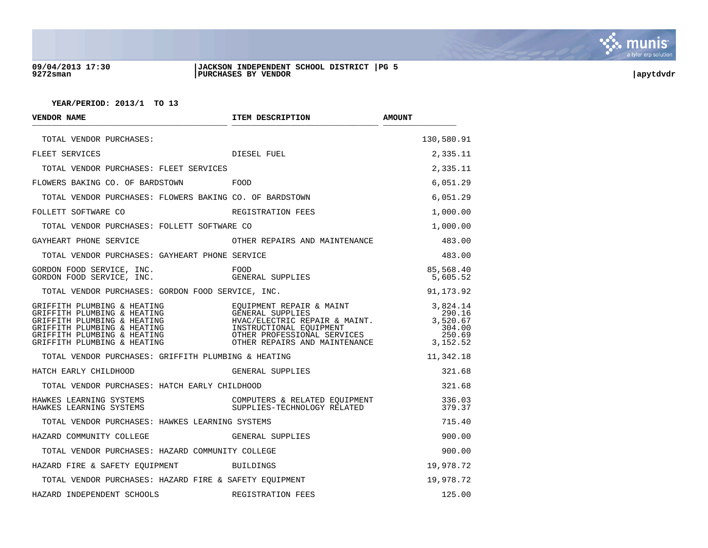

#### **09/04/2013 17:30 |JACKSON INDEPENDENT SCHOOL DISTRICT |PG 5 9272sman |PURCHASES BY VENDOR |apytdvdr**

| VENDOR NAME                                                                                                                                                                                                                                                                                                                                                                                                                                                                                                                                                               | ITEM DESCRIPTION                                             | <b>AMOUNT</b>                                                  |
|---------------------------------------------------------------------------------------------------------------------------------------------------------------------------------------------------------------------------------------------------------------------------------------------------------------------------------------------------------------------------------------------------------------------------------------------------------------------------------------------------------------------------------------------------------------------------|--------------------------------------------------------------|----------------------------------------------------------------|
| TOTAL VENDOR PURCHASES:                                                                                                                                                                                                                                                                                                                                                                                                                                                                                                                                                   |                                                              | 130,580.91                                                     |
| FLEET SERVICES                                                                                                                                                                                                                                                                                                                                                                                                                                                                                                                                                            | DIESEL FUEL                                                  | 2,335.11                                                       |
| TOTAL VENDOR PURCHASES: FLEET SERVICES                                                                                                                                                                                                                                                                                                                                                                                                                                                                                                                                    |                                                              | 2,335.11                                                       |
| FLOWERS BAKING CO. OF BARDSTOWN<br><b>EOOD</b>                                                                                                                                                                                                                                                                                                                                                                                                                                                                                                                            |                                                              | 6,051.29                                                       |
| TOTAL VENDOR PURCHASES: FLOWERS BAKING CO. OF BARDSTOWN                                                                                                                                                                                                                                                                                                                                                                                                                                                                                                                   |                                                              | 6,051.29                                                       |
| FOLLETT SOFTWARE CO                                                                                                                                                                                                                                                                                                                                                                                                                                                                                                                                                       | REGISTRATION FEES                                            | 1,000.00                                                       |
| TOTAL VENDOR PURCHASES: FOLLETT SOFTWARE CO                                                                                                                                                                                                                                                                                                                                                                                                                                                                                                                               |                                                              | 1,000.00                                                       |
| GAYHEART PHONE SERVICE                                                                                                                                                                                                                                                                                                                                                                                                                                                                                                                                                    | OTHER REPAIRS AND MAINTENANCE                                | 483.00                                                         |
| TOTAL VENDOR PURCHASES: GAYHEART PHONE SERVICE                                                                                                                                                                                                                                                                                                                                                                                                                                                                                                                            |                                                              | 483.00                                                         |
| GORDON FOOD SERVICE, INC.<br>GORDON FOOD SERVICE, INC.                                                                                                                                                                                                                                                                                                                                                                                                                                                                                                                    | FOOD<br>GENERAL SUPPLIES                                     | 85,568.40<br>5,605.52                                          |
| TOTAL VENDOR PURCHASES: GORDON FOOD SERVICE, INC.                                                                                                                                                                                                                                                                                                                                                                                                                                                                                                                         |                                                              | 91,173.92                                                      |
| GRIFFITH PLUMBING & HEATING $\overline{C}$ and $\overline{C}$ and $\overline{C}$ and $\overline{C}$ and $\overline{C}$ and $\overline{C}$ and $\overline{C}$ and $\overline{C}$ and $\overline{C}$ and $\overline{C}$ and $\overline{C}$ and $\overline{C}$ and $\overline{C}$ and $\overline{C}$ and $\overline{C}$ an<br>CRIFFITH PLUMBING & HEATING<br>GENERAL SUPPLIES<br>GRIFFITH PLUMBING & HEATING<br>GRIFFITH PLUMBING & HEATING<br>GRIFFITH PLUMBING & HEATING<br>GRIFFITH PLUMBING & HEATING<br>CRIFFITH PLUMBING & HEATING<br>CRIFFITH PLUMBING & HEATING<br>C |                                                              | 3,824.14<br>290.16<br>3,520.67<br>304.00<br>250.69<br>3,152.52 |
| TOTAL VENDOR PURCHASES: GRIFFITH PLUMBING & HEATING                                                                                                                                                                                                                                                                                                                                                                                                                                                                                                                       |                                                              | 11,342.18                                                      |
| HATCH EARLY CHILDHOOD                                                                                                                                                                                                                                                                                                                                                                                                                                                                                                                                                     | GENERAL SUPPLIES                                             | 321.68                                                         |
| TOTAL VENDOR PURCHASES: HATCH EARLY CHILDHOOD                                                                                                                                                                                                                                                                                                                                                                                                                                                                                                                             |                                                              | 321.68                                                         |
| HAWKES LEARNING SYSTEMS<br>HAWKES LEARNING SYSTEMS                              SUPPLIES-TECHNOLOGY RELATED                                                                                                                                                                                                                                                                                                                                                                                                                                                               | COMPUTERS & RELATED EQUIPMENT<br>SUPPLIES-TECHNOLOGY RELATED | 336.03<br>379.37                                               |
| TOTAL VENDOR PURCHASES: HAWKES LEARNING SYSTEMS                                                                                                                                                                                                                                                                                                                                                                                                                                                                                                                           |                                                              | 715.40                                                         |
| HAZARD COMMUNITY COLLEGE                                                                                                                                                                                                                                                                                                                                                                                                                                                                                                                                                  | <b>GENERAL SUPPLIES</b>                                      | 900.00                                                         |
| TOTAL VENDOR PURCHASES: HAZARD COMMUNITY COLLEGE                                                                                                                                                                                                                                                                                                                                                                                                                                                                                                                          |                                                              | 900.00                                                         |
| HAZARD FIRE & SAFETY EQUIPMENT BUILDINGS                                                                                                                                                                                                                                                                                                                                                                                                                                                                                                                                  |                                                              | 19,978.72                                                      |
| TOTAL VENDOR PURCHASES: HAZARD FIRE & SAFETY EOUIPMENT                                                                                                                                                                                                                                                                                                                                                                                                                                                                                                                    |                                                              | 19,978.72                                                      |
| HAZARD INDEPENDENT SCHOOLS                                                                                                                                                                                                                                                                                                                                                                                                                                                                                                                                                | REGISTRATION FEES                                            | 125.00                                                         |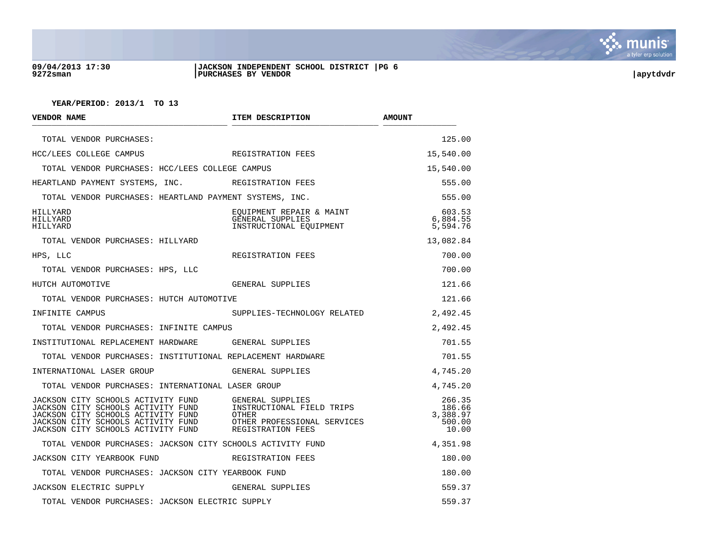

#### **09/04/2013 17:30 |JACKSON INDEPENDENT SCHOOL DISTRICT |PG 6 9272sman |PURCHASES BY VENDOR |apytdvdr**

| <b>VENDOR NAME</b>                                                                                                                                                                         | ITEM DESCRIPTION                                                                                           | <b>AMOUNT</b>                                   |
|--------------------------------------------------------------------------------------------------------------------------------------------------------------------------------------------|------------------------------------------------------------------------------------------------------------|-------------------------------------------------|
| TOTAL VENDOR PURCHASES:                                                                                                                                                                    |                                                                                                            | 125.00                                          |
| HCC/LEES COLLEGE CAMPUS                                                                                                                                                                    | REGISTRATION FEES                                                                                          | 15,540.00                                       |
| TOTAL VENDOR PURCHASES: HCC/LEES COLLEGE CAMPUS                                                                                                                                            |                                                                                                            | 15,540.00                                       |
| HEARTLAND PAYMENT SYSTEMS, INC. REGISTRATION FEES                                                                                                                                          |                                                                                                            | 555.00                                          |
| TOTAL VENDOR PURCHASES: HEARTLAND PAYMENT SYSTEMS, INC.                                                                                                                                    |                                                                                                            | 555.00                                          |
| HILLYARD<br>HILLYARD<br>HILLYARD                                                                                                                                                           | EQUIPMENT REPAIR & MAINT<br>GENERAL SUPPLIES<br>INSTRUCTIONAL EOUIPMENT                                    | 603.53<br>6,884.55<br>5,594.76                  |
| TOTAL VENDOR PURCHASES: HILLYARD                                                                                                                                                           |                                                                                                            | 13,082.84                                       |
| HPS, LLC                                                                                                                                                                                   | REGISTRATION FEES                                                                                          | 700.00                                          |
| TOTAL VENDOR PURCHASES: HPS, LLC                                                                                                                                                           |                                                                                                            | 700.00                                          |
| HUTCH AUTOMOTIVE                                                                                                                                                                           | GENERAL SUPPLIES                                                                                           | 121.66                                          |
| TOTAL VENDOR PURCHASES: HUTCH AUTOMOTIVE                                                                                                                                                   |                                                                                                            | 121.66                                          |
| INFINITE CAMPUS                                                                                                                                                                            | SUPPLIES-TECHNOLOGY RELATED                                                                                | 2,492.45                                        |
| TOTAL VENDOR PURCHASES: INFINITE CAMPUS                                                                                                                                                    |                                                                                                            | 2,492.45                                        |
| INSTITUTIONAL REPLACEMENT HARDWARE GENERAL SUPPLIES                                                                                                                                        |                                                                                                            | 701.55                                          |
| TOTAL VENDOR PURCHASES: INSTITUTIONAL REPLACEMENT HARDWARE                                                                                                                                 |                                                                                                            | 701.55                                          |
| INTERNATIONAL LASER GROUP                                                                                                                                                                  | GENERAL SUPPLIES                                                                                           | 4,745.20                                        |
| TOTAL VENDOR PURCHASES: INTERNATIONAL LASER GROUP                                                                                                                                          |                                                                                                            | 4,745.20                                        |
| JACKSON CITY SCHOOLS ACTIVITY FUND<br>JACKSON CITY SCHOOLS ACTIVITY FUND<br>JACKSON CITY SCHOOLS ACTIVITY FUND<br>JACKSON CITY SCHOOLS ACTIVITY FUND<br>JACKSON CITY SCHOOLS ACTIVITY FUND | GENERAL SUPPLIES<br>INSTRUCTIONAL FIELD TRIPS<br>OTHER<br>OTHER PROFESSIONAL SERVICES<br>REGISTRATION FEES | 266.35<br>186.66<br>3,388.97<br>500.00<br>10.00 |
| TOTAL VENDOR PURCHASES: JACKSON CITY SCHOOLS ACTIVITY FUND                                                                                                                                 |                                                                                                            | 4,351.98                                        |
| <b>JACKSON CITY YEARBOOK FUND</b>                                                                                                                                                          | REGISTRATION FEES                                                                                          | 180.00                                          |
| TOTAL VENDOR PURCHASES: JACKSON CITY YEARBOOK FUND                                                                                                                                         |                                                                                                            | 180.00                                          |
| JACKSON ELECTRIC SUPPLY                                                                                                                                                                    | GENERAL SUPPLIES                                                                                           | 559.37                                          |
| TOTAL VENDOR PURCHASES: JACKSON ELECTRIC SUPPLY                                                                                                                                            |                                                                                                            | 559.37                                          |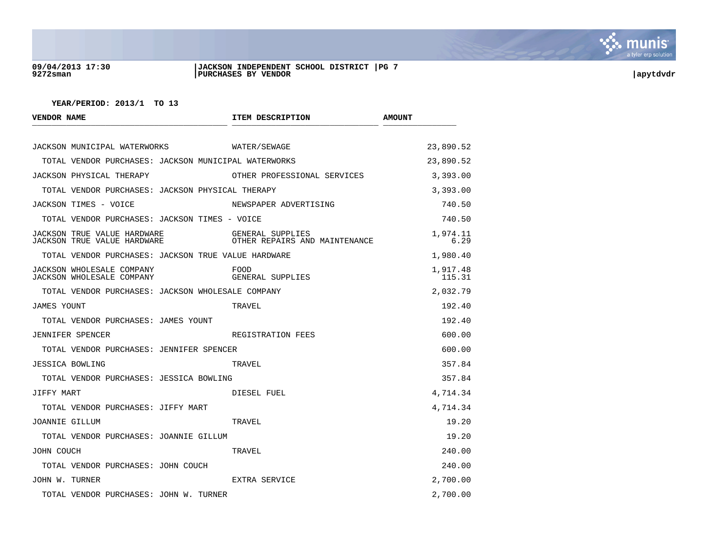

#### **09/04/2013 17:30 |JACKSON INDEPENDENT SCHOOL DISTRICT |PG 7 9272sman |PURCHASES BY VENDOR |apytdvdr**

| <b>VENDOR NAME</b>                                                | ITEM DESCRIPTION                                  | <b>AMOUNT</b>      |
|-------------------------------------------------------------------|---------------------------------------------------|--------------------|
| JACKSON MUNICIPAL WATERWORKS WATER/SEWAGE                         |                                                   | 23,890.52          |
| TOTAL VENDOR PURCHASES: JACKSON MUNICIPAL WATERWORKS              |                                                   | 23,890.52          |
| JACKSON PHYSICAL THERAPY                                          | OTHER PROFESSIONAL SERVICES                       | 3,393.00           |
| TOTAL VENDOR PURCHASES: JACKSON PHYSICAL THERAPY                  |                                                   | 3,393.00           |
| JACKSON TIMES - VOICE                                             | NEWSPAPER ADVERTISING                             | 740.50             |
| TOTAL VENDOR PURCHASES: JACKSON TIMES - VOICE                     |                                                   | 740.50             |
| JACKSON TRUE VALUE HARDWARE<br><b>JACKSON TRUE VALUE HARDWARE</b> | GENERAL SUPPLIES<br>OTHER REPAIRS AND MAINTENANCE | 1,974.11<br>6.29   |
| TOTAL VENDOR PURCHASES: JACKSON TRUE VALUE HARDWARE               |                                                   | 1,980.40           |
| JACKSON WHOLESALE COMPANY<br>JACKSON WHOLESALE COMPANY            | FOOD<br>GENERAL SUPPLIES                          | 1,917.48<br>115.31 |
| TOTAL VENDOR PURCHASES: JACKSON WHOLESALE COMPANY                 |                                                   | 2,032.79           |
| <b>JAMES YOUNT</b>                                                | TRAVEL                                            | 192.40             |
| TOTAL VENDOR PURCHASES: JAMES YOUNT                               |                                                   | 192.40             |
| <b>JENNIFER SPENCER</b>                                           | REGISTRATION FEES                                 | 600.00             |
| TOTAL VENDOR PURCHASES: JENNIFER SPENCER                          |                                                   | 600.00             |
| JESSICA BOWLING                                                   | TRAVEL.                                           | 357.84             |
| TOTAL VENDOR PURCHASES: JESSICA BOWLING                           |                                                   | 357.84             |
| JIFFY MART                                                        | DIESEL FUEL                                       | 4,714.34           |
| TOTAL VENDOR PURCHASES: JIFFY MART                                |                                                   | 4,714.34           |
| JOANNIE GILLUM                                                    | TRAVEL                                            | 19.20              |
| TOTAL VENDOR PURCHASES: JOANNIE GILLUM                            |                                                   | 19.20              |
| JOHN COUCH                                                        | TRAVEL                                            | 240.00             |
| TOTAL VENDOR PURCHASES: JOHN COUCH                                |                                                   | 240.00             |
| JOHN W. TURNER                                                    | EXTRA SERVICE                                     | 2,700.00           |
| TOTAL VENDOR PURCHASES: JOHN W. TURNER                            |                                                   | 2,700.00           |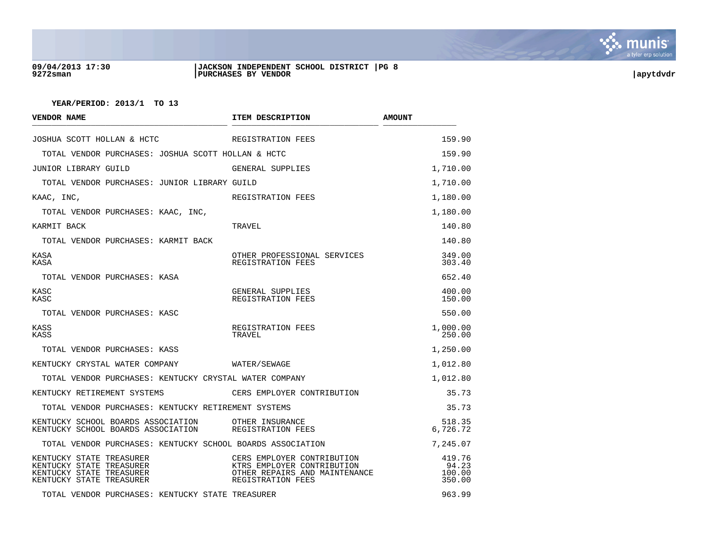

#### **09/04/2013 17:30 |JACKSON INDEPENDENT SCHOOL DISTRICT |PG 8 9272sman |PURCHASES BY VENDOR |apytdvdr**

| <b>VENDOR NAME</b>                                                                                           | ITEM DESCRIPTION                                                                                               | <b>AMOUNT</b>                       |
|--------------------------------------------------------------------------------------------------------------|----------------------------------------------------------------------------------------------------------------|-------------------------------------|
| JOSHUA SCOTT HOLLAN & HCTC                                                                                   | REGISTRATION FEES                                                                                              | 159.90                              |
| TOTAL VENDOR PURCHASES: JOSHUA SCOTT HOLLAN & HCTC                                                           |                                                                                                                | 159.90                              |
| JUNIOR LIBRARY GUILD                                                                                         | GENERAL SUPPLIES                                                                                               | 1,710.00                            |
| TOTAL VENDOR PURCHASES: JUNIOR LIBRARY GUILD                                                                 |                                                                                                                | 1,710.00                            |
| KAAC, INC,                                                                                                   | REGISTRATION FEES                                                                                              | 1,180.00                            |
| TOTAL VENDOR PURCHASES: KAAC, INC,                                                                           |                                                                                                                | 1,180.00                            |
| KARMIT BACK                                                                                                  | TRAVEL                                                                                                         | 140.80                              |
| TOTAL VENDOR PURCHASES: KARMIT BACK                                                                          |                                                                                                                | 140.80                              |
| KASA<br>KASA                                                                                                 | OTHER PROFESSIONAL SERVICES<br>REGISTRATION FEES                                                               | 349.00<br>303.40                    |
| TOTAL VENDOR PURCHASES: KASA                                                                                 |                                                                                                                | 652.40                              |
| KASC<br>KASC                                                                                                 | GENERAL SUPPLIES<br>REGISTRATION FEES                                                                          | 400.00<br>150.00                    |
| TOTAL VENDOR PURCHASES: KASC                                                                                 |                                                                                                                | 550.00                              |
| KASS<br>KASS                                                                                                 | REGISTRATION FEES<br>TRAVEL                                                                                    | 1,000.00<br>250.00                  |
| TOTAL VENDOR PURCHASES: KASS                                                                                 |                                                                                                                | 1,250.00                            |
| KENTUCKY CRYSTAL WATER COMPANY                                                                               | WATER/SEWAGE                                                                                                   | 1,012.80                            |
| TOTAL VENDOR PURCHASES: KENTUCKY CRYSTAL WATER COMPANY                                                       |                                                                                                                | 1,012.80                            |
| KENTUCKY RETIREMENT SYSTEMS                                                                                  | CERS EMPLOYER CONTRIBUTION                                                                                     | 35.73                               |
| TOTAL VENDOR PURCHASES: KENTUCKY RETIREMENT SYSTEMS                                                          |                                                                                                                | 35.73                               |
| KENTUCKY SCHOOL BOARDS ASSOCIATION<br>KENTUCKY SCHOOL BOARDS ASSOCIATION                                     | OTHER INSUKANCE<br>REGISTRATION FEES                                                                           | 518.35<br>6,726.72                  |
| TOTAL VENDOR PURCHASES: KENTUCKY SCHOOL BOARDS ASSOCIATION                                                   |                                                                                                                | 7,245.07                            |
| KENTUCKY STATE TREASURER<br>KENTUCKY STATE TREASURER<br>KENTUCKY STATE TREASURER<br>KENTUCKY STATE TREASURER | CERS EMPLOYER CONTRIBUTION<br>KTRS EMPLOYER CONTRIBUTION<br>OTHER REPAIRS AND MAINTENANCE<br>REGISTRATION FEES | 419.76<br>94.23<br>100.00<br>350.00 |
| TOTAL VENDOR PURCHASES: KENTUCKY STATE TREASURER                                                             |                                                                                                                | 963.99                              |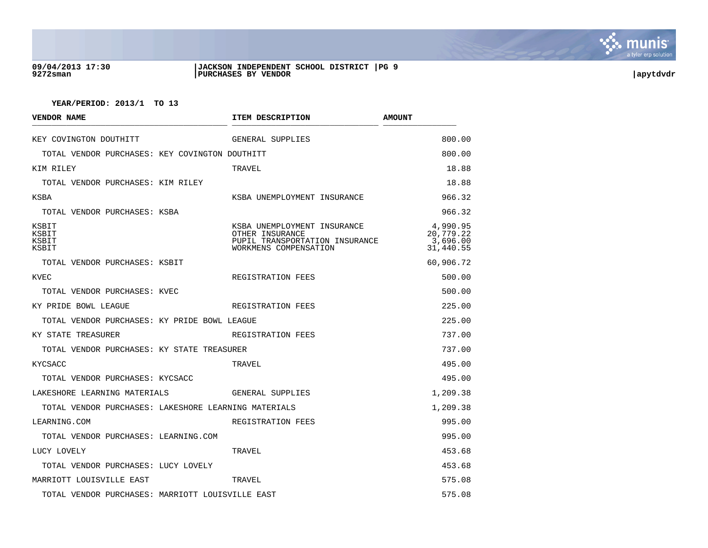

#### **09/04/2013 17:30 |JACKSON INDEPENDENT SCHOOL DISTRICT |PG 9 9272sman |PURCHASES BY VENDOR |apytdvdr**

| VENDOR NAME                                          | ITEM DESCRIPTION                                                                                          | <b>AMOUNT</b>                                  |
|------------------------------------------------------|-----------------------------------------------------------------------------------------------------------|------------------------------------------------|
| KEY COVINGTON DOUTHITT                               | GENERAL SUPPLIES                                                                                          | 800.00                                         |
| TOTAL VENDOR PURCHASES: KEY COVINGTON DOUTHITT       |                                                                                                           | 800.00                                         |
| KIM RILEY                                            | TRAVEL                                                                                                    | 18.88                                          |
| TOTAL VENDOR PURCHASES: KIM RILEY                    |                                                                                                           | 18.88                                          |
| KSBA                                                 | KSBA UNEMPLOYMENT INSURANCE                                                                               | 966.32                                         |
| TOTAL VENDOR PURCHASES: KSBA                         |                                                                                                           | 966.32                                         |
| KSBIT<br>KSBIT<br>KSBIT<br>KSBIT                     | KSBA UNEMPLOYMENT INSURANCE<br>OTHER INSURANCE<br>PUPIL TRANSPORTATION INSURANCE<br>WORKMENS COMPENSATION | 4,990.95<br>20,779.22<br>3,696.00<br>31,440.55 |
| TOTAL VENDOR PURCHASES: KSBIT                        |                                                                                                           | 60,906.72                                      |
| KVEC                                                 | REGISTRATION FEES                                                                                         | 500.00                                         |
| TOTAL VENDOR PURCHASES: KVEC                         |                                                                                                           | 500.00                                         |
| KY PRIDE BOWL LEAGUE                                 | REGISTRATION FEES                                                                                         | 225.00                                         |
| TOTAL VENDOR PURCHASES: KY PRIDE BOWL LEAGUE         |                                                                                                           | 225.00                                         |
| KY STATE TREASURER                                   | REGISTRATION FEES                                                                                         | 737.00                                         |
| TOTAL VENDOR PURCHASES: KY STATE TREASURER           |                                                                                                           | 737.00                                         |
| KYCSACC                                              | TRAVEL                                                                                                    | 495.00                                         |
| TOTAL VENDOR PURCHASES: KYCSACC                      |                                                                                                           | 495.00                                         |
| LAKESHORE LEARNING MATERIALS                         | GENERAL SUPPLIES                                                                                          | 1,209.38                                       |
| TOTAL VENDOR PURCHASES: LAKESHORE LEARNING MATERIALS |                                                                                                           | 1,209.38                                       |
| LEARNING.COM                                         | REGISTRATION FEES                                                                                         | 995.00                                         |
| TOTAL VENDOR PURCHASES: LEARNING.COM                 |                                                                                                           | 995.00                                         |
| LUCY LOVELY                                          | TRAVEL                                                                                                    | 453.68                                         |
| TOTAL VENDOR PURCHASES: LUCY LOVELY                  |                                                                                                           | 453.68                                         |
| MARRIOTT LOUISVILLE EAST                             | TRAVEL                                                                                                    | 575.08                                         |
| TOTAL VENDOR PURCHASES: MARRIOTT LOUISVILLE EAST     |                                                                                                           | 575.08                                         |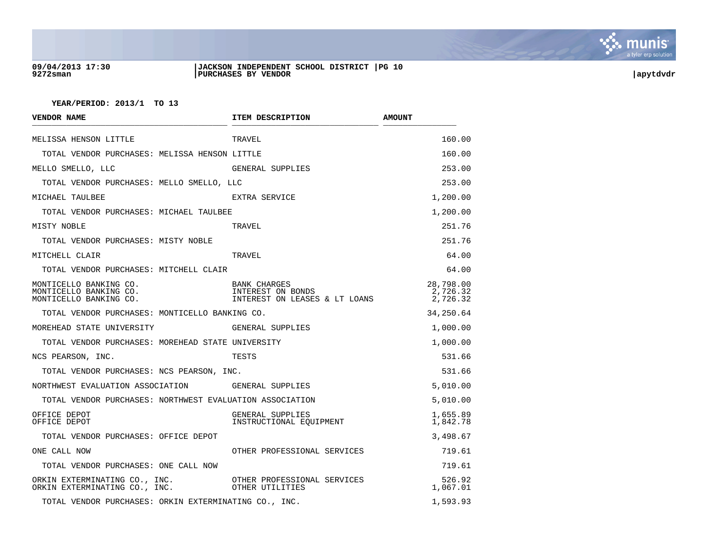

#### **09/04/2013 17:30 |JACKSON INDEPENDENT SCHOOL DISTRICT |PG 10 9272sman |PURCHASES BY VENDOR |apytdvdr**

| <b>VENDOR NAME</b>                                                         | ITEM DESCRIPTION                                                          | <b>AMOUNT</b>                     |
|----------------------------------------------------------------------------|---------------------------------------------------------------------------|-----------------------------------|
| MELISSA HENSON LITTLE                                                      | TRAVEL                                                                    | 160.00                            |
| TOTAL VENDOR PURCHASES: MELISSA HENSON LITTLE                              |                                                                           | 160.00                            |
| MELLO SMELLO, LLC                                                          | GENERAL SUPPLIES                                                          | 253.00                            |
| TOTAL VENDOR PURCHASES: MELLO SMELLO, LLC                                  |                                                                           | 253.00                            |
| MICHAEL TAULBEE                                                            | EXTRA SERVICE                                                             | 1,200.00                          |
| TOTAL VENDOR PURCHASES: MICHAEL TAULBEE                                    |                                                                           | 1,200.00                          |
| MISTY NOBLE                                                                | TRAVEL                                                                    | 251.76                            |
| TOTAL VENDOR PURCHASES: MISTY NOBLE                                        |                                                                           | 251.76                            |
| MITCHELL CLAIR                                                             | TRAVEL                                                                    | 64.00                             |
| TOTAL VENDOR PURCHASES: MITCHELL CLAIR                                     |                                                                           | 64.00                             |
| MONTICELLO BANKING CO.<br>MONTICELLO BANKING CO.<br>MONTICELLO BANKING CO. | <b>BANK CHARGES</b><br>INTEREST ON BONDS<br>INTEREST ON LEASES & LT LOANS | 28,798.00<br>2,726.32<br>2,726.32 |
| TOTAL VENDOR PURCHASES: MONTICELLO BANKING CO.                             |                                                                           | 34,250.64                         |
| MOREHEAD STATE UNIVERSITY                                                  | GENERAL SUPPLIES                                                          | 1,000.00                          |
| TOTAL VENDOR PURCHASES: MOREHEAD STATE UNIVERSITY                          |                                                                           | 1,000.00                          |
| NCS PEARSON, INC.                                                          | TESTS                                                                     | 531.66                            |
| TOTAL VENDOR PURCHASES: NCS PEARSON, INC.                                  |                                                                           | 531.66                            |
| NORTHWEST EVALUATION ASSOCIATION GENERAL SUPPLIES                          |                                                                           | 5,010.00                          |
| TOTAL VENDOR PURCHASES: NORTHWEST EVALUATION ASSOCIATION                   |                                                                           | 5,010.00                          |
| OFFICE DEPOT<br>OFFICE DEPOT                                               | GENERAL SUPPLIES<br>INSTRUCTIONAL EQUIPMENT                               | 1,655.89<br>1,842.78              |
| TOTAL VENDOR PURCHASES: OFFICE DEPOT                                       |                                                                           | 3,498.67                          |
| ONE CALL NOW                                                               | OTHER PROFESSIONAL SERVICES                                               | 719.61                            |
| TOTAL VENDOR PURCHASES: ONE CALL NOW                                       |                                                                           | 719.61                            |
| ORKIN EXTERMINATING CO., INC.<br>ORKIN EXTERMINATING CO., INC.             | OTHER PROFESSIONAL SERVICES<br>OTHER UTILITIES                            | 526.92<br>1,067.01                |
| TOTAL VENDOR PURCHASES: ORKIN EXTERMINATING CO., INC.                      |                                                                           | 1,593.93                          |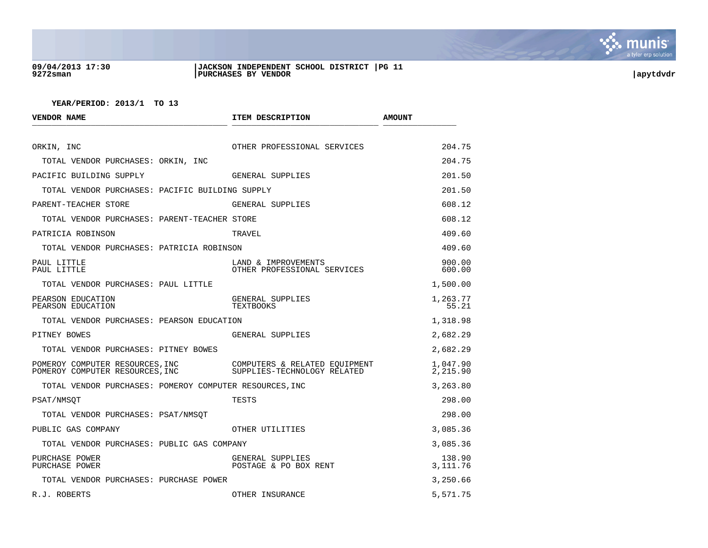

#### **09/04/2013 17:30 |JACKSON INDEPENDENT SCHOOL DISTRICT |PG 11 9272sman |PURCHASES BY VENDOR |apytdvdr**

| <b>VENDOR NAME</b>                                                 | ITEM DESCRIPTION                                             | <b>AMOUNT</b>        |
|--------------------------------------------------------------------|--------------------------------------------------------------|----------------------|
| ORKIN, INC                                                         | OTHER PROFESSIONAL SERVICES                                  | 204.75               |
| TOTAL VENDOR PURCHASES: ORKIN, INC                                 |                                                              | 204.75               |
| PACIFIC BUILDING SUPPLY                                            | GENERAL SUPPLIES                                             | 201.50               |
| TOTAL VENDOR PURCHASES: PACIFIC BUILDING SUPPLY                    |                                                              | 201.50               |
| PARENT-TEACHER STORE                                               | GENERAL SUPPLIES                                             | 608.12               |
| TOTAL VENDOR PURCHASES: PARENT-TEACHER STORE                       |                                                              | 608.12               |
| PATRICIA ROBINSON                                                  | TRAVEL                                                       | 409.60               |
| TOTAL VENDOR PURCHASES: PATRICIA ROBINSON                          |                                                              | 409.60               |
| PAUL LITTLE<br>PAUL LITTLE                                         | LAND & IMPROVEMENTS<br>OTHER PROFESSIONAL SERVICES           | 900.00<br>600.00     |
| TOTAL VENDOR PURCHASES: PAUL LITTLE                                |                                                              | 1,500.00             |
| PEARSON EDUCATION<br>PEARSON EDUCATION                             | GENERAL SUPPLIES<br>TEXTBOOKS                                | 1,263.77<br>55.21    |
| TOTAL VENDOR PURCHASES: PEARSON EDUCATION                          |                                                              | 1,318.98             |
| PITNEY BOWES                                                       | GENERAL SUPPLIES                                             | 2,682.29             |
| TOTAL VENDOR PURCHASES: PITNEY BOWES                               |                                                              | 2,682.29             |
| POMEROY COMPUTER RESOURCES, INC<br>POMEROY COMPUTER RESOURCES, INC | COMPUTERS & RELATED EQUIPMENT<br>SUPPLIES-TECHNOLOGY RELATED | 1,047.90<br>2,215.90 |
| TOTAL VENDOR PURCHASES: POMEROY COMPUTER RESOURCES, INC            |                                                              | 3,263.80             |
| PSAT/NMSQT                                                         | TESTS                                                        | 298.00               |
| TOTAL VENDOR PURCHASES: PSAT/NMSOT                                 |                                                              | 298.00               |
| PUBLIC GAS COMPANY                                                 | OTHER UTILITIES                                              | 3,085.36             |
| TOTAL VENDOR PURCHASES: PUBLIC GAS COMPANY                         |                                                              | 3,085.36             |
| PURCHASE POWER<br>PURCHASE POWER                                   | GENERAL SUPPLIES<br>POSTAGE & PO BOX RENT                    | 138.90<br>3,111.76   |
| TOTAL VENDOR PURCHASES: PURCHASE POWER                             |                                                              | 3,250.66             |
| R.J. ROBERTS                                                       | OTHER INSURANCE                                              | 5,571.75             |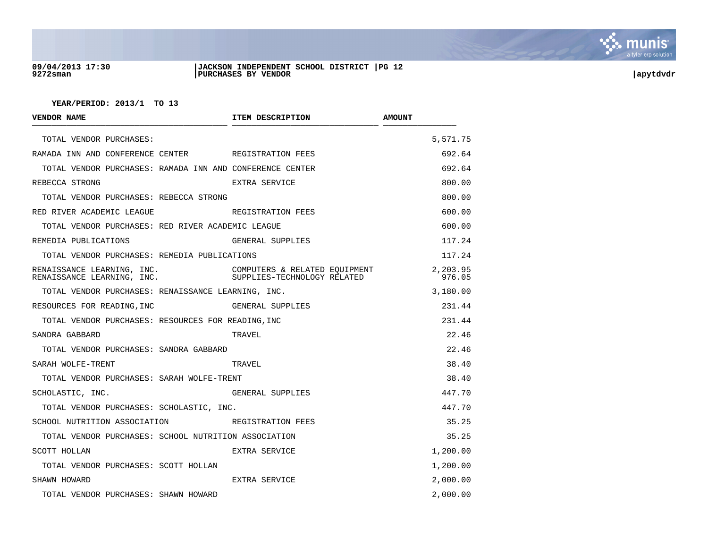

#### **09/04/2013 17:30 |JACKSON INDEPENDENT SCHOOL DISTRICT |PG 12 9272sman |PURCHASES BY VENDOR |apytdvdr**

| VENDOR NAME                                              | ITEM DESCRIPTION                                             | <b>AMOUNT</b>      |
|----------------------------------------------------------|--------------------------------------------------------------|--------------------|
| TOTAL VENDOR PURCHASES:                                  |                                                              | 5,571.75           |
| RAMADA INN AND CONFERENCE CENTER REGISTRATION FEES       |                                                              | 692.64             |
| TOTAL VENDOR PURCHASES: RAMADA INN AND CONFERENCE CENTER |                                                              | 692.64             |
| REBECCA STRONG                                           | EXTRA SERVICE                                                | 800.00             |
| TOTAL VENDOR PURCHASES: REBECCA STRONG                   |                                                              | 800.00             |
| RED RIVER ACADEMIC LEAGUE                                | REGISTRATION FEES                                            | 600.00             |
| TOTAL VENDOR PURCHASES: RED RIVER ACADEMIC LEAGUE        |                                                              | 600.00             |
| REMEDIA PUBLICATIONS                                     | GENERAL SUPPLIES                                             | 117.24             |
| TOTAL VENDOR PURCHASES: REMEDIA PUBLICATIONS             |                                                              | 117.24             |
| RENAISSANCE LEARNING, INC.<br>RENAISSANCE LEARNING, INC. | COMPUTERS & RELATED EQUIPMENT<br>SUPPLIES-TECHNOLOGY RELATED | 2,203.95<br>976.05 |
| TOTAL VENDOR PURCHASES: RENAISSANCE LEARNING, INC.       |                                                              | 3,180.00           |
| RESOURCES FOR READING, INC                               | GENERAL SUPPLIES                                             | 231.44             |
| TOTAL VENDOR PURCHASES: RESOURCES FOR READING, INC       |                                                              | 231.44             |
| SANDRA GABBARD                                           | TRAVEL                                                       | 22.46              |
| TOTAL VENDOR PURCHASES: SANDRA GABBARD                   |                                                              | 22.46              |
| SARAH WOLFE-TRENT                                        | TRAVEL                                                       | 38.40              |
| TOTAL VENDOR PURCHASES: SARAH WOLFE-TRENT                |                                                              | 38.40              |
| SCHOLASTIC, INC.                                         | GENERAL SUPPLIES                                             | 447.70             |
| TOTAL VENDOR PURCHASES: SCHOLASTIC, INC.                 |                                                              | 447.70             |
| SCHOOL NUTRITION ASSOCIATION TERRITRATION FEES           |                                                              | 35.25              |
| TOTAL VENDOR PURCHASES: SCHOOL NUTRITION ASSOCIATION     |                                                              | 35.25              |
| SCOTT HOLLAN                                             | EXTRA SERVICE                                                | 1,200.00           |
| TOTAL VENDOR PURCHASES: SCOTT HOLLAN                     |                                                              | 1,200.00           |
| SHAWN HOWARD                                             | EXTRA SERVICE                                                | 2,000.00           |
| TOTAL VENDOR PURCHASES: SHAWN HOWARD                     |                                                              | 2,000.00           |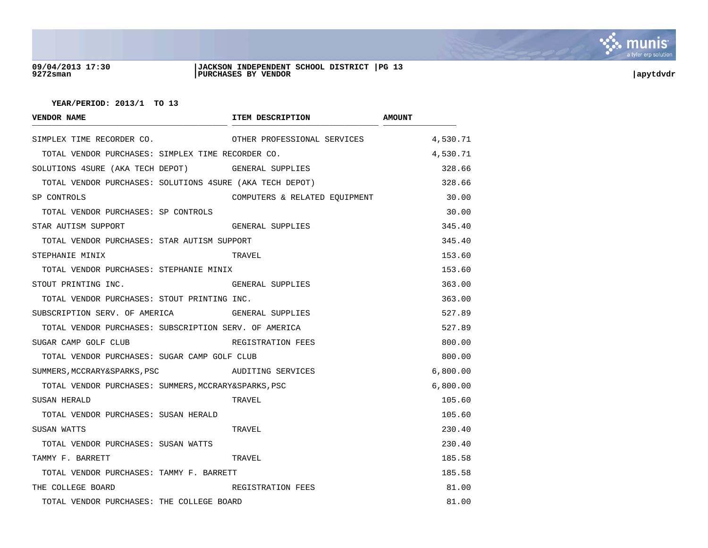

#### **09/04/2013 17:30 |JACKSON INDEPENDENT SCHOOL DISTRICT |PG 13 9272sman |PURCHASES BY VENDOR |apytdvdr**

| <b>VENDOR NAME</b>                                       | ITEM DESCRIPTION              | <b>AMOUNT</b> |
|----------------------------------------------------------|-------------------------------|---------------|
| SIMPLEX TIME RECORDER CO.                                | OTHER PROFESSIONAL SERVICES   | 4,530.71      |
| TOTAL VENDOR PURCHASES: SIMPLEX TIME RECORDER CO.        |                               | 4,530.71      |
| SOLUTIONS 4SURE (AKA TECH DEPOT) GENERAL SUPPLIES        |                               | 328.66        |
| TOTAL VENDOR PURCHASES: SOLUTIONS 4SURE (AKA TECH DEPOT) |                               | 328.66        |
| SP CONTROLS                                              | COMPUTERS & RELATED EQUIPMENT | 30.00         |
| TOTAL VENDOR PURCHASES: SP CONTROLS                      |                               | 30.00         |
| STAR AUTISM SUPPORT                                      | GENERAL SUPPLIES              | 345.40        |
| TOTAL VENDOR PURCHASES: STAR AUTISM SUPPORT              |                               | 345.40        |
| STEPHANIE MINIX                                          | TRAVEL                        | 153.60        |
| TOTAL VENDOR PURCHASES: STEPHANIE MINIX                  |                               | 153.60        |
| STOUT PRINTING INC.                                      | GENERAL SUPPLIES              | 363.00        |
| TOTAL VENDOR PURCHASES: STOUT PRINTING INC.              |                               | 363.00        |
| SUBSCRIPTION SERV. OF AMERICA GENERAL SUPPLIES           |                               | 527.89        |
| TOTAL VENDOR PURCHASES: SUBSCRIPTION SERV. OF AMERICA    |                               | 527.89        |
| SUGAR CAMP GOLF CLUB                                     | REGISTRATION FEES             | 800.00        |
| TOTAL VENDOR PURCHASES: SUGAR CAMP GOLF CLUB             |                               | 800.00        |
| SUMMERS, MCCRARY&SPARKS, PSC                             | AUDITING SERVICES             | 6,800.00      |
| TOTAL VENDOR PURCHASES: SUMMERS, MCCRARY&SPARKS, PSC     |                               | 6,800.00      |
| SUSAN HERALD                                             | TRAVEL                        | 105.60        |
| TOTAL VENDOR PURCHASES: SUSAN HERALD                     |                               | 105.60        |
| SUSAN WATTS                                              | TRAVEL                        | 230.40        |
| TOTAL VENDOR PURCHASES: SUSAN WATTS                      |                               | 230.40        |
| TAMMY F. BARRETT                                         | TRAVEL                        | 185.58        |
| TOTAL VENDOR PURCHASES: TAMMY F. BARRETT                 |                               | 185.58        |
| THE COLLEGE BOARD                                        | REGISTRATION FEES             | 81.00         |
| TOTAL VENDOR PURCHASES: THE COLLEGE BOARD                |                               | 81.00         |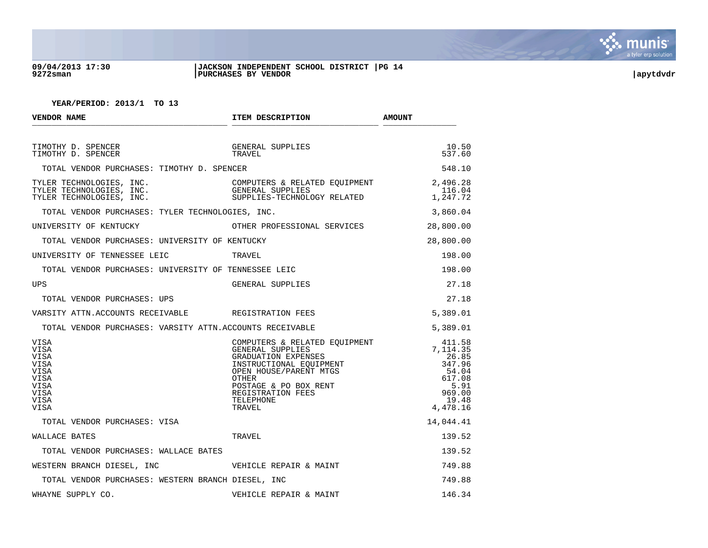

#### **09/04/2013 17:30 |JACKSON INDEPENDENT SCHOOL DISTRICT |PG 14 9272sman |PURCHASES BY VENDOR |apytdvdr**

| VENDOR NAME                                                                                | ITEM DESCRIPTION                                                                                                                                                                                                 | <b>AMOUNT</b>                                                                                   |
|--------------------------------------------------------------------------------------------|------------------------------------------------------------------------------------------------------------------------------------------------------------------------------------------------------------------|-------------------------------------------------------------------------------------------------|
| TIMOTHY D. SPENCER<br>TIMOTHY D. SPENCER                                                   | GENERAL SUPPLIES<br>TRAVEL                                                                                                                                                                                       | 10.50<br>537.60                                                                                 |
| TOTAL VENDOR PURCHASES: TIMOTHY D. SPENCER                                                 |                                                                                                                                                                                                                  | 548.10                                                                                          |
| TYLER TECHNOLOGIES, INC.<br>TYLER TECHNOLOGIES, INC.<br>TYLER TECHNOLOGIES, INC.           | COMPUTERS & RELATED EQUIPMENT $2,496.28$<br>GENERAL SUPPLIES<br>SUPPLIES-TECHNOLOGY RELATED $1,247.72$                                                                                                           |                                                                                                 |
| TOTAL VENDOR PURCHASES: TYLER TECHNOLOGIES, INC.                                           |                                                                                                                                                                                                                  | 3,860.04                                                                                        |
| UNIVERSITY OF KENTUCKY                                                                     | OTHER PROFESSIONAL SERVICES                                                                                                                                                                                      | 28,800.00                                                                                       |
| TOTAL VENDOR PURCHASES: UNIVERSITY OF KENTUCKY                                             |                                                                                                                                                                                                                  | 28,800.00                                                                                       |
| UNIVERSITY OF TENNESSEE LEIC                                                               | TRAVEL                                                                                                                                                                                                           | 198.00                                                                                          |
| TOTAL VENDOR PURCHASES: UNIVERSITY OF TENNESSEE LEIC                                       |                                                                                                                                                                                                                  | 198.00                                                                                          |
| <b>UPS</b>                                                                                 | GENERAL SUPPLIES                                                                                                                                                                                                 | 27.18                                                                                           |
| TOTAL VENDOR PURCHASES: UPS                                                                |                                                                                                                                                                                                                  | 27.18                                                                                           |
| VARSITY ATTN.ACCOUNTS RECEIVABLE REGISTRATION FEES                                         |                                                                                                                                                                                                                  | 5,389.01                                                                                        |
| TOTAL VENDOR PURCHASES: VARSITY ATTN.ACCOUNTS RECEIVABLE                                   |                                                                                                                                                                                                                  | 5,389.01                                                                                        |
| VISA<br><b>VISA</b><br>VISA<br>VISA<br><b>VISA</b><br>VISA<br>VISA<br>VISA<br>VISA<br>VISA | GISTAL<br>JUNTS RECEIVABLE<br>COMPUTERS & RELATED EQUIPMENT<br>GENERAL SUPPLIES<br>GRADUATION EXPENSES<br>INSTRUCTIONAL EQUIPMENT<br>OPEN HOUSE/PARENT MTGS<br>OTHER<br>TAGE & PO BOX RENT<br>TAGE & PO BOX RENT | 411.58<br>7,114.35<br>26.85<br>347.96<br>54.04<br>617.08<br>5.91<br>969.00<br>19.48<br>4,478.16 |
| TOTAL VENDOR PURCHASES: VISA                                                               |                                                                                                                                                                                                                  | 14,044.41                                                                                       |
| WALLACE BATES                                                                              | TRAVEL                                                                                                                                                                                                           | 139.52                                                                                          |
| TOTAL VENDOR PURCHASES: WALLACE BATES                                                      |                                                                                                                                                                                                                  | 139.52                                                                                          |
| WESTERN BRANCH DIESEL, INC                                                                 | VEHICLE REPAIR & MAINT                                                                                                                                                                                           | 749.88                                                                                          |
| TOTAL VENDOR PURCHASES: WESTERN BRANCH DIESEL, INC                                         |                                                                                                                                                                                                                  | 749.88                                                                                          |
| WHAYNE SUPPLY CO.                                                                          | VEHICLE REPAIR & MAINT                                                                                                                                                                                           | 146.34                                                                                          |